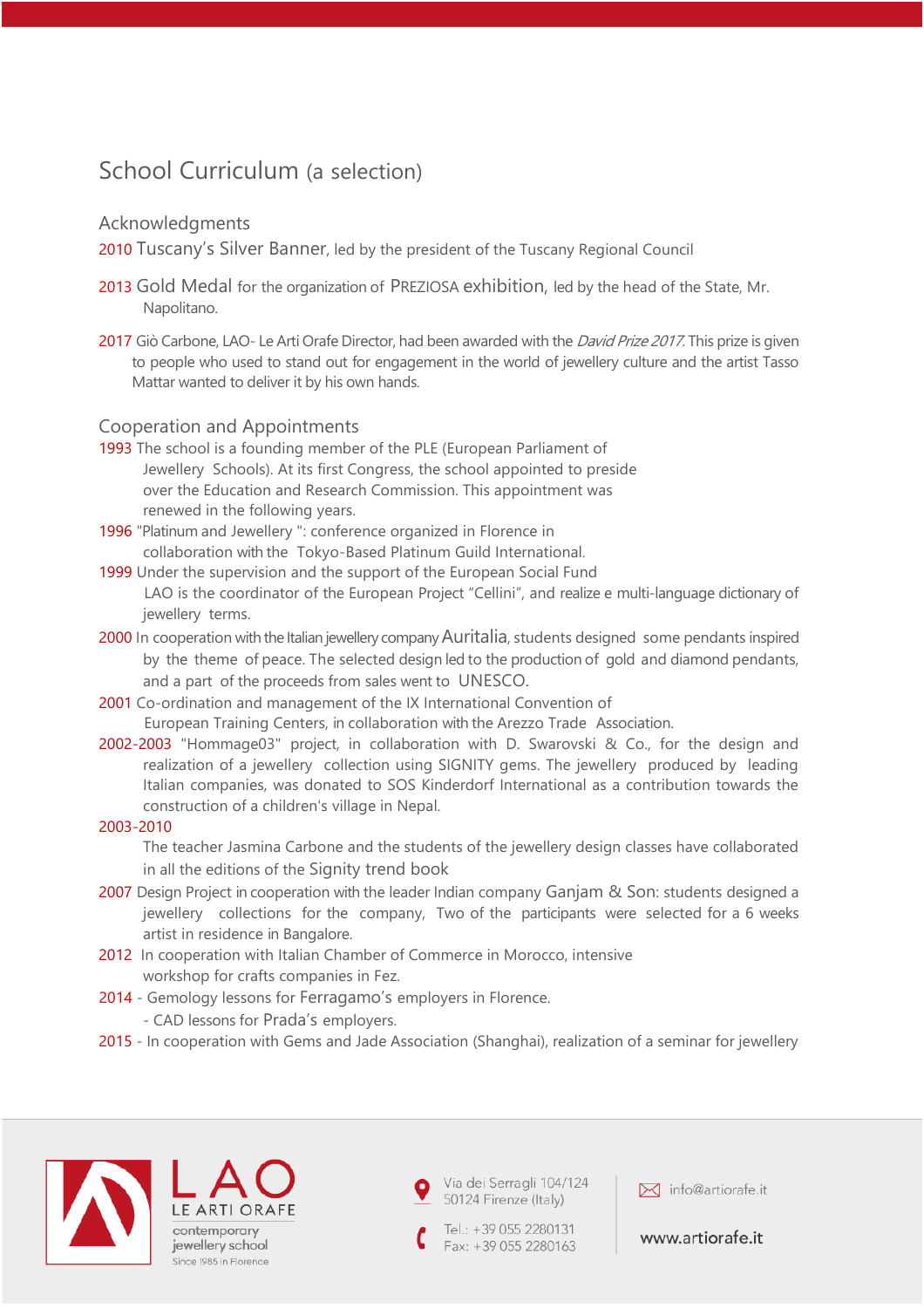# School Curriculum (a selection)

### Acknowledgments

2010 Tuscany's Silver Banner, led by the president of the Tuscany Regional Council

- 2013 Gold Medal for the organization of PREZIOSA exhibition, led by the head of the State, Mr. Napolitano.
- 2017 Giò Carbone, LAO- Le Arti Orafe Director, had been awarded with the David Prize 2017. This prize is given to people who used to stand out for engagement in the world of jewellery culture and the artist Tasso Mattar wanted to deliver it by his own hands.

### Cooperation and Appointments

- 1993 The school is a founding member of the PLE (European Parliament of Jewellery Schools). At its first Congress, the school appointed to preside over the Education and Research Commission. This appointment was renewed in the following years.
- 1996 "Platinum and Jewellery ": conference organized in Florence in collaboration with the Tokyo-Based Platinum Guild International.
- 1999 Under the supervision and the support of the European Social Fund LAO is the coordinator of the European Project "Cellini", and realize e multi-language dictionary of jewellery terms.
- 2000 In cooperation with the Italian jewellery company Auritalia, students designed some pendants inspired by the theme of peace. The selected design led to the production of gold and diamond pendants, and a part of the proceeds from sales went to UNESCO.
- 2001 Co-ordination and management of the IX International Convention of European Training Centers, in collaboration with the Arezzo Trade Association.
- 2002-2003 "Hommage03" project, in collaboration with D. Swarovski & Co., for the design and realization of a jewellery collection using SIGNITY gems. The jewellery produced by leading Italian companies, was donated to SOS Kinderdorf International as a contribution towards the construction of a children's village in Nepal.

### 2003-2010

The teacher Jasmina Carbone and the students of the jewellery design classes have collaborated in all the editions of the Signity trend book

- 2007 Design Project in cooperation with the leader Indian company Ganjam & Son: students designed a jewellery collections for the company, Two of the participants were selected for a 6 weeks artist in residence in Bangalore.
- 2012 In cooperation with Italian Chamber of Commerce in Morocco, intensive workshop for crafts companies in Fez.
- 2014 Gemology lessons for Ferragamo's employers in Florence.
	- CAD lessons for Prada's employers.
- 2015 In cooperation with Gems and Jade Association (Shanghai), realization of a seminar for jewellery



contemporary jewellery school Since 1985 in Florence Via dei Serragli 104/124 50124 Firenze (Italy)

Tel.: +39 055 2280131 Fax: +39 055 2280163

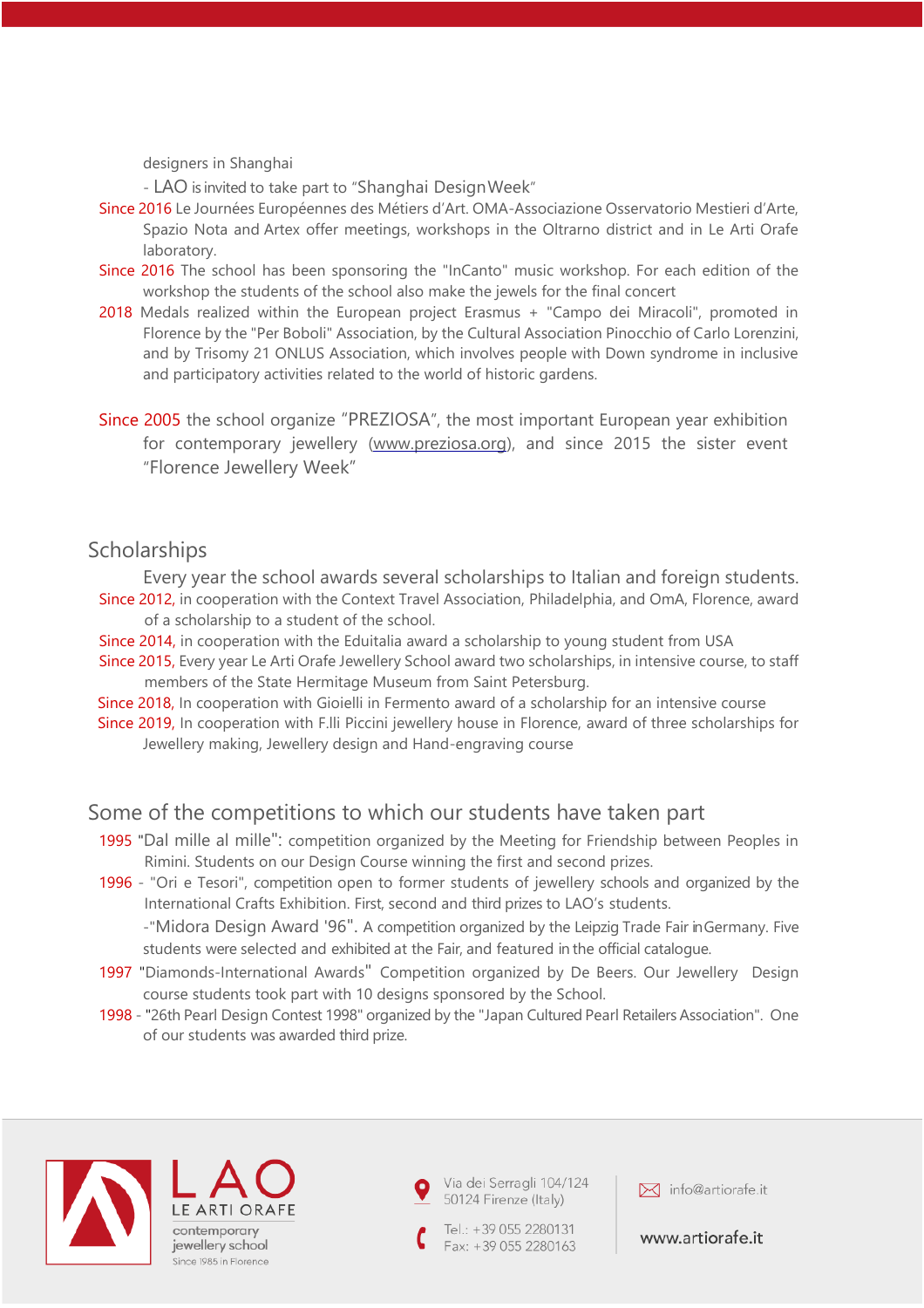designers in Shanghai

- LAO is invited to take part to "Shanghai DesignWeek"

- Since 2016 Le Journées Européennes des Métiers d'Art. OMA-Associazione Osservatorio Mestieri d'Arte, Spazio Nota and Artex offer meetings, workshops in the Oltrarno district and in Le Arti Orafe laboratory.
- Since 2016 The school has been sponsoring the "InCanto" music workshop. For each edition of the workshop the students of the school also make the jewels for the final concert
- 2018 Medals realized within the European project Erasmus + "Campo dei Miracoli", promoted in Florence by the "Per Boboli" Association, by the Cultural Association Pinocchio of Carlo Lorenzini, and by Trisomy 21 ONLUS Association, which involves people with Down syndrome in inclusive and participatory activities related to the world of historic gardens.
- Since 2005 the school organize "PREZIOSA", the most important European year exhibition for contemporary jewellery [\(www.preziosa.org\),](http://www.preziosa.org/) and since 2015 the sister event "Florence Jewellery Week"

## **Scholarships**

Every year the school awards several scholarships to Italian and foreign students. Since 2012, in cooperation with the Context Travel Association, Philadelphia, and OmA, Florence, award

of a scholarship to a student of the school.

- Since 2014, in cooperation with the Eduitalia award a scholarship to young student from USA
- Since 2015, Every year Le Arti Orafe Jewellery School award two scholarships, in intensive course, to staff members of the State Hermitage Museum from Saint Petersburg.
- Since 2018, In cooperation with Gioielli in Fermento award of a scholarship for an intensive course
- Since 2019, In cooperation with F.lli Piccini jewellery house in Florence, award of three scholarships for Jewellery making, Jewellery design and Hand-engraving course

# Some of the competitions to which our students have taken part

- 1995 "Dal mille al mille": competition organized by the Meeting for Friendship between Peoples in Rimini. Students on our Design Course winning the first and second prizes.
- 1996 "Ori e Tesori", competition open to former students of jewellery schools and organized by the International Crafts Exhibition. First, second and third prizes to LAO's students. -"Midora Design Award '96". A competition organized by the Leipzig Trade Fair in Germany. Five

students were selected and exhibited at the Fair, and featured in the official catalogue.

- 1997 "Diamonds-International Awards" Competition organized by De Beers. Our Jewellery Design course students took part with 10 designs sponsored by the School.
- 1998 "26th Pearl Design Contest 1998" organized by the "Japan Cultured Pearl Retailers Association". One of our students was awarded third prize.



LE ART contemporary jewellery school Since 1985 in Florence Via dei Serragli 104/124 50124 Firenze (Italy)

Tel.: +39 055 2280131 Fax: +39 055 2280163

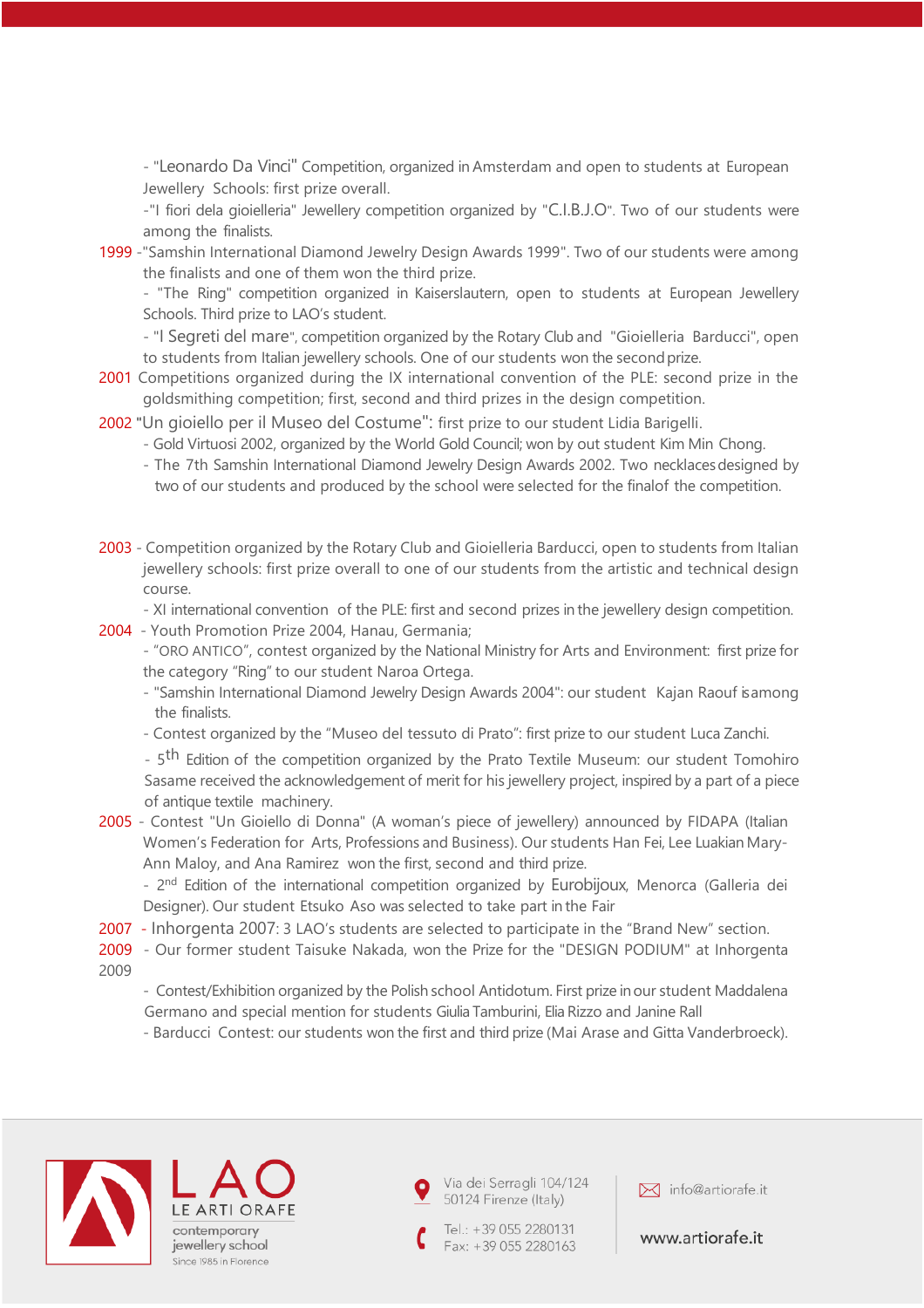- "Leonardo Da Vinci" Competition, organized in Amsterdam and open to students at European Jewellery Schools: first prize overall.

-"I fiori dela gioielleria" Jewellery competition organized by "C.I.B.J.O". Two of our students were among the finalists.

1999 -"Samshin International Diamond Jewelry Design Awards 1999". Two of our students were among the finalists and one of them won the third prize.

- "The Ring" competition organized in Kaiserslautern, open to students at European Jewellery Schools. Third prize to LAO's student.

- "I Segreti del mare", competition organized by the Rotary Club and "Gioielleria Barducci", open to students from Italian jewellery schools. One of our students won the secondprize.

- 2001 Competitions organized during the IX international convention of the PLE: second prize in the goldsmithing competition; first, second and third prizes in the design competition.
- 2002 "Un gioiello per il Museo del Costume": first prize to our student Lidia Barigelli.
	- Gold Virtuosi 2002, organized by the World Gold Council; won by out student Kim Min Chong.
	- The 7th Samshin International Diamond Jewelry Design Awards 2002. Two necklacesdesigned by two of our students and produced by the school were selected for the finalof the competition.
- 2003 Competition organized by the Rotary Club and Gioielleria Barducci, open to students from Italian jewellery schools: first prize overall to one of our students from the artistic and technical design course.
	- XI international convention of the PLE: first and second prizes in the jewellery design competition.
- 2004 Youth Promotion Prize 2004, Hanau, Germania;

- "ORO ANTICO", contest organized by the National Ministry for Arts and Environment: first prize for the category "Ring" to our student Naroa Ortega.

- "Samshin International Diamond Jewelry Design Awards 2004": our student Kajan Raouf is among the finalists.
- Contest organized by the "Museo del tessuto di Prato": first prize to our student Luca Zanchi.

- 5<sup>th</sup> Edition of the competition organized by the Prato Textile Museum: our student Tomohiro Sasame received the acknowledgement of merit for his jewellery project, inspired by a part of a piece of antique textile machinery.

2005 - Contest "Un Gioiello di Donna" (A woman's piece of jewellery) announced by FIDAPA (Italian Women's Federation for Arts, Professions and Business). Our students Han Fei, Lee Luakian Mary-Ann Maloy, and Ana Ramirez won the first, second and third prize.

- 2<sup>nd</sup> Edition of the international competition organized by Eurobijoux, Menorca (Galleria dei Designer). Our student Etsuko Aso was selected to take part in the Fair

2007 - Inhorgenta 2007: 3 LAO's students are selected to participate in the "Brand New" section.

2009 - Our former student Taisuke Nakada, won the Prize for the "DESIGN PODIUM" at Inhorgenta 2009

- Contest/Exhibition organized by the Polish school Antidotum. First prize in our student Maddalena Germano and special mention for students Giulia Tamburini, Elia Rizzo and Janine Rall

- Barducci Contest: our students won the first and third prize (Mai Arase and Gitta Vanderbroeck).



LE ART contemporary jewellery school Since 1985 in Florence Via dei Serragli 104/124 50124 Firenze (Italy)

Tel.: +39 055 2280131 Fax: +39 055 2280163

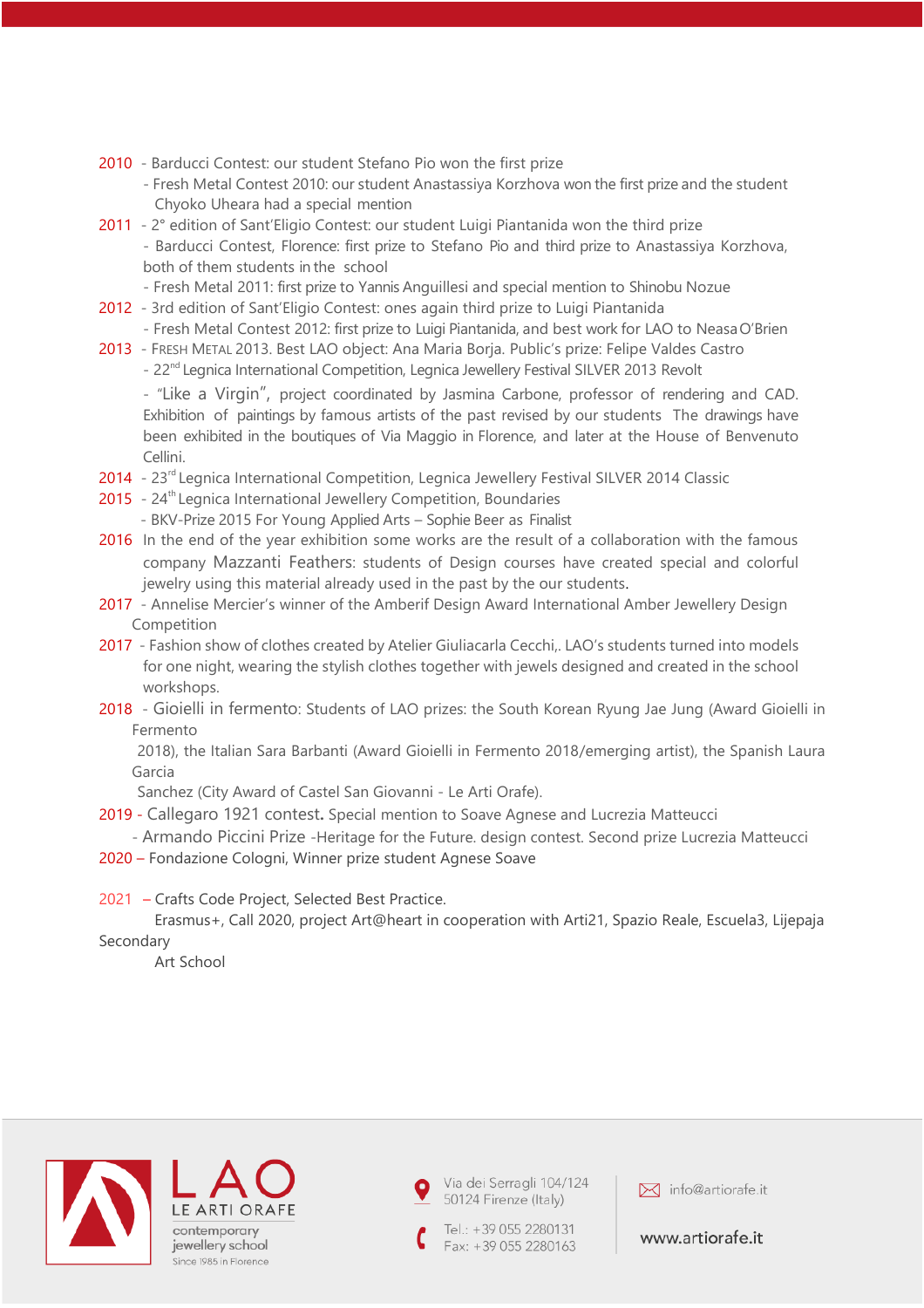- 2010 Barducci Contest: our student Stefano Pio won the first prize
	- Fresh Metal Contest 2010: our student Anastassiya Korzhova won the first prize and the student Chyoko Uheara had a special mention
- 2011 2° edition of Sant'Eligio Contest: our student Luigi Piantanida won the third prize - Barducci Contest, Florence: first prize to Stefano Pio and third prize to Anastassiya Korzhova, both of them students in the school
	- Fresh Metal 2011: first prize to Yannis Anguillesi and special mention to Shinobu Nozue
- 2012 3rd edition of Sant'Eligio Contest: ones again third prize to Luigi Piantanida - Fresh Metal Contest 2012: first prize to Luigi Piantanida, and best work for LAO to NeasaO'Brien
- 2013 FRESH METAL 2013. Best LAO object: Ana Maria Borja. Public's prize: Felipe Valdes Castro
	- 22<sup>nd</sup> Legnica International Competition, Legnica Jewellery Festival SILVER 2013 Revolt

- "Like a Virgin", project coordinated by Jasmina Carbone, professor of rendering and CAD. Exhibition of paintings by famous artists of the past revised by our students The drawings have been exhibited in the boutiques of Via Maggio in Florence, and later at the House of Benvenuto Cellini.

- 2014 23<sup>rd</sup> Legnica International Competition, Legnica Jewellery Festival SILVER 2014 Classic
- 2015 24<sup>th</sup> Legnica International Jewellery Competition, Boundaries - BKV-Prize 2015 For Young Applied Arts – Sophie Beer as Finalist
- 2016 In the end of the year exhibition some works are the result of a collaboration with the famous company Mazzanti Feathers: students of Design courses have created special and colorful jewelry using this material already used in the past by the our students.
- 2017 Annelise Mercier's winner of the Amberif Design Award International Amber Jewellery Design Competition
- 2017 Fashion show of clothes created by Atelier Giuliacarla Cecchi,. LAO's students turned into models for one night, wearing the stylish clothes together with jewels designed and created in the school workshops.
- 2018 Gioielli in fermento: Students of LAO prizes: the South Korean Ryung Jae Jung (Award Gioielli in Fermento

 2018), the Italian Sara Barbanti (Award Gioielli in Fermento 2018/emerging artist), the Spanish Laura Garcia

Sanchez (City Award of Castel San Giovanni - Le Arti Orafe).

- 2019 Callegaro 1921 contest**.** Special mention to Soave Agnese and Lucrezia Matteucci - Armando Piccini Prize -Heritage for the Future. design contest. Second prize Lucrezia Matteucci
- 2020 Fondazione Cologni, Winner prize student Agnese Soave
- 2021 Crafts Code Project, Selected Best Practice.

 Erasmus+, Call 2020, project Art@heart in cooperation with Arti21, Spazio Reale, Escuela3, Lijepaja Secondary

Art School



Via dei Serragli 104/124 50124 Firenze (Italy)

Tel.: +39 055 2280131 Fax: +39 055 2280163

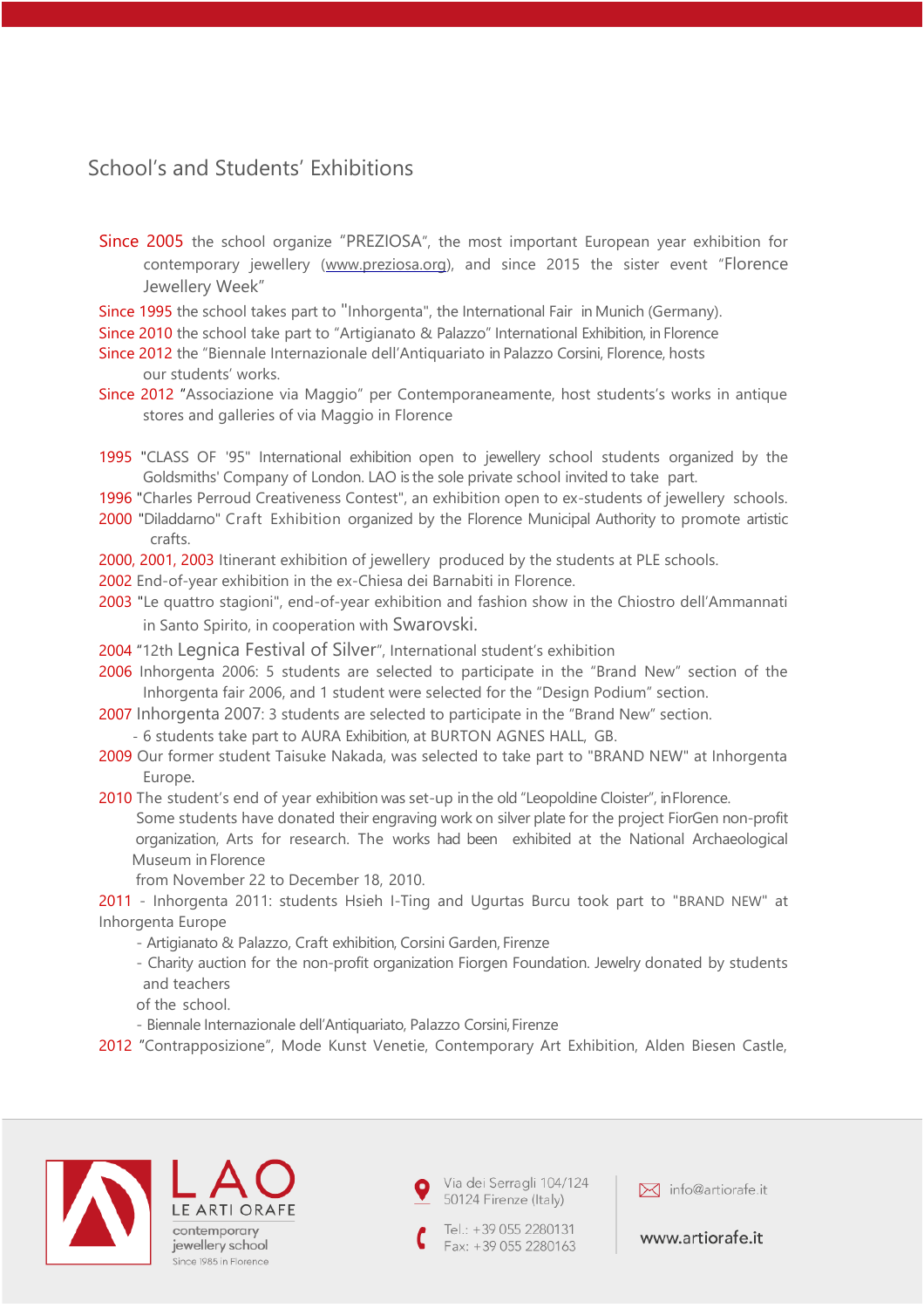## School's and Students' Exhibitions

- Since 2005 the school organize "PREZIOSA", the most important European year exhibition for contemporary jewellery [\(www.preziosa.org\),](http://www.preziosa.org/) and since 2015 the sister event "Florence Jewellery Week"
- Since 1995 the school takes part to "Inhorgenta", the International Fair in Munich (Germany).
- Since 2010 the school take part to "Artigianato & Palazzo" International Exhibition, in Florence
- Since 2012 the "Biennale Internazionale dell'Antiquariato in Palazzo Corsini, Florence, hosts our students' works.
- Since 2012 "Associazione via Maggio" per Contemporaneamente, host students's works in antique stores and galleries of via Maggio in Florence
- 1995 "CLASS OF '95" International exhibition open to jewellery school students organized by the Goldsmiths' Company of London. LAO is the sole private school invited to take part.
- 1996 "Charles Perroud Creativeness Contest", an exhibition open to ex-students of jewellery schools.
- 2000 "Diladdarno" Craft Exhibition organized by the Florence Municipal Authority to promote artistic crafts.
- 2000, 2001, 2003 Itinerant exhibition of jewellery produced by the students at PLE schools.
- 2002 End-of-year exhibition in the ex-Chiesa dei Barnabiti in Florence.
- 2003 "Le quattro stagioni", end-of-year exhibition and fashion show in the Chiostro dell'Ammannati in Santo Spirito, in cooperation with Swarovski.
- 2004 "12th Legnica Festival of Silver", International student's exhibition
- 2006 Inhorgenta 2006: 5 students are selected to participate in the "Brand New" section of the Inhorgenta fair 2006, and 1 student were selected for the "Design Podium" section.
- 2007 Inhorgenta 2007: 3 students are selected to participate in the "Brand New" section. - 6 students take part to AURA Exhibition, at BURTON AGNES HALL, GB.
- 2009 Our former student Taisuke Nakada, was selected to take part to "BRAND NEW" at Inhorgenta Europe.
- 2010 The student's end of year exhibition was set-up in the old "Leopoldine Cloister", in Florence. Some students have donated their engraving work on silver plate for the project FiorGen non-profit organization, Arts for research. The works had been exhibited at the National Archaeological Museum in Florence
	- from November 22 to December 18, 2010.

2011 - Inhorgenta 2011: students Hsieh I-Ting and Ugurtas Burcu took part to "BRAND NEW" at Inhorgenta Europe

- Artigianato & Palazzo, Craft exhibition, Corsini Garden, Firenze
- Charity auction for the non-profit organization Fiorgen Foundation. Jewelry donated by students and teachers
- of the school.
- Biennale Internazionale dell'Antiquariato, Palazzo Corsini, Firenze
- 2012 "Contrapposizione", Mode Kunst Venetie, Contemporary Art Exhibition, Alden Biesen Castle,



contemporary jewellery school Since 1985 in Florence Via dei Serragli 104/124 50124 Firenze (Italy)



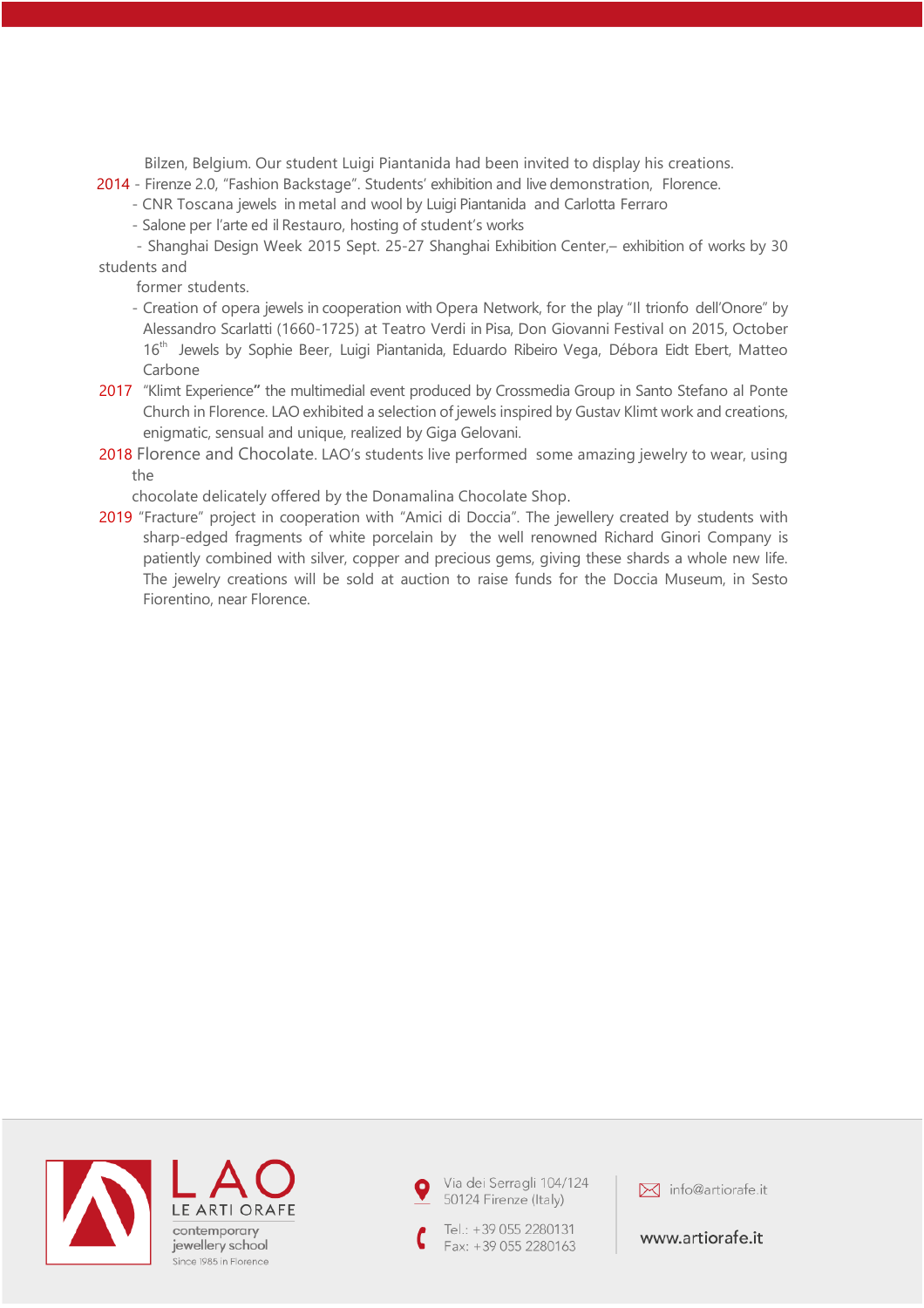Bilzen, Belgium. Our student Luigi Piantanida had been invited to display his creations.

- 2014 Firenze 2.0, "Fashion Backstage". Students' exhibition and live demonstration, Florence.
	- CNR Toscana jewels in metal and wool by Luigi Piantanida and Carlotta Ferraro
		- Salone per l'arte ed il Restauro, hosting of student's works

- Shanghai Design Week 2015 Sept. 25-27 Shanghai Exhibition Center,– exhibition of works by 30 students and

former students.

- Creation of opera jewels in cooperation with Opera Network, for the play "Il trionfo dell'Onore" by Alessandro Scarlatti (1660-1725) at Teatro Verdi in Pisa, Don Giovanni Festival on 2015, October 16<sup>th</sup> Jewels by Sophie Beer, Luigi Piantanida, Eduardo Ribeiro Vega, Débora Eidt Ebert, Matteo Carbone
- 2017 "Klimt Experience**"** the multimedial event produced by Crossmedia Group in Santo Stefano al Ponte Church in Florence. LAO exhibited a selection of jewels inspired by Gustav Klimt work and creations, enigmatic, sensual and unique, realized by Giga Gelovani.
- 2018 Florence and Chocolate. LAO's students live performed some amazing jewelry to wear, using the

chocolate delicately offered by the Donamalina Chocolate Shop.

2019 "Fracture" project in cooperation with "Amici di Doccia". The jewellery created by students with sharp-edged fragments of white porcelain by the well renowned Richard Ginori Company is patiently combined with silver, copper and precious gems, giving these shards a whole new life. The jewelry creations will be sold at auction to raise funds for the Doccia Museum, in Sesto Fiorentino, near Florence.





Tel.: +39 055 2280131 Fax: +39 055 2280163

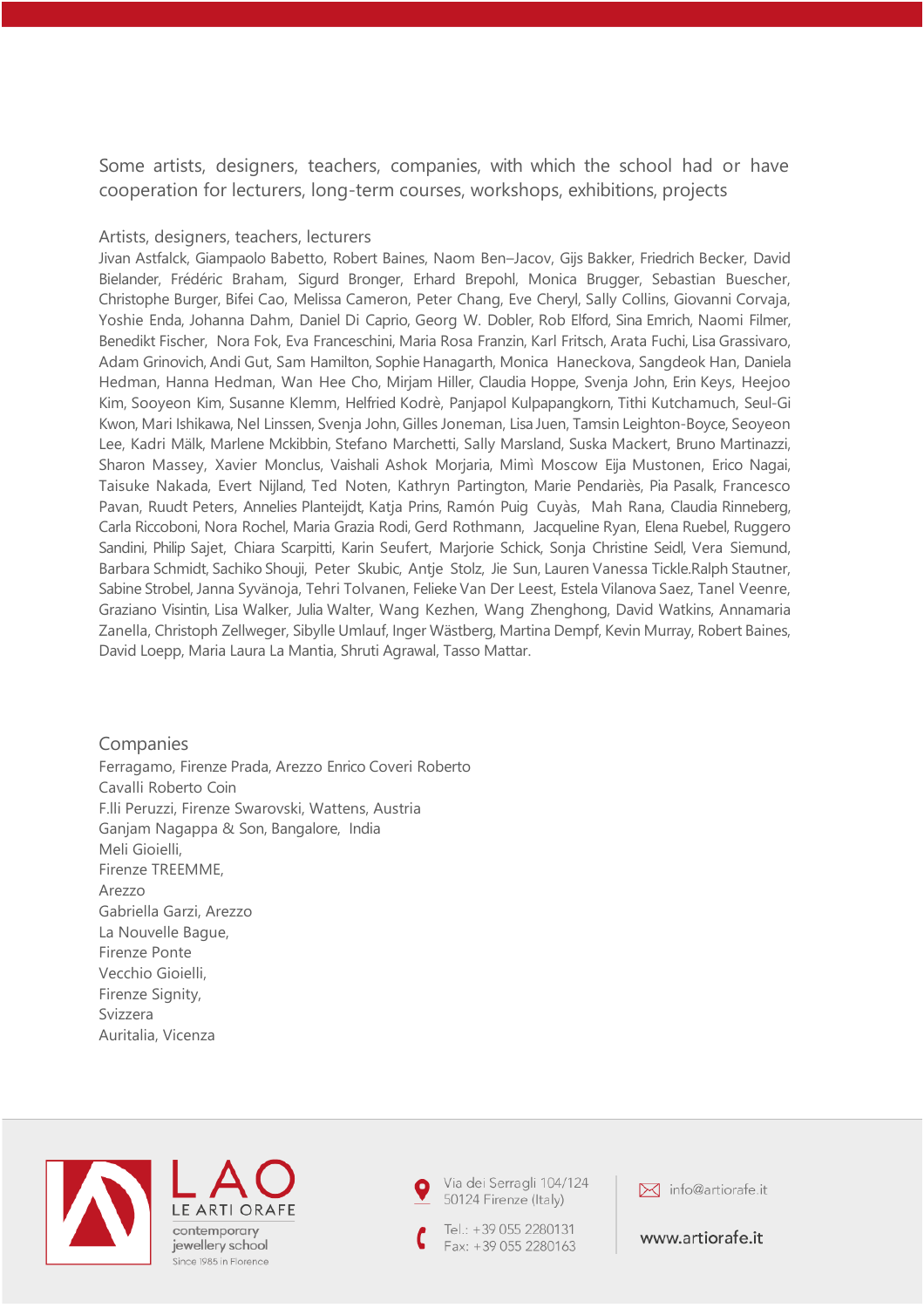Some artists, designers, teachers, companies, with which the school had or have cooperation for lecturers, long-term courses, workshops, exhibitions, projects

### Artists, designers, teachers, lecturers

Jivan Astfalck, Giampaolo Babetto, Robert Baines, Naom Ben–Jacov, Gijs Bakker, Friedrich Becker, David Bielander, Frédéric Braham, Sigurd Bronger, Erhard Brepohl, Monica Brugger, Sebastian Buescher, Christophe Burger, Bifei Cao, Melissa Cameron, Peter Chang, Eve Cheryl, Sally Collins, Giovanni Corvaja, Yoshie Enda, Johanna Dahm, Daniel Di Caprio, Georg W. Dobler, Rob Elford, Sina Emrich, Naomi Filmer, Benedikt Fischer, Nora Fok, Eva Franceschini, Maria Rosa Franzin, Karl Fritsch, Arata Fuchi, Lisa Grassivaro, Adam Grinovich, Andi Gut, Sam Hamilton, Sophie Hanagarth, Monica Haneckova, Sangdeok Han, Daniela Hedman, Hanna Hedman, Wan Hee Cho, Mirjam Hiller, Claudia Hoppe, Svenja John, Erin Keys, Heejoo Kim, Sooyeon Kim, Susanne Klemm, Helfried Kodrè, Panjapol Kulpapangkorn, Tithi Kutchamuch, Seul-Gi Kwon, Mari Ishikawa, Nel Linssen, Svenja John, Gilles Joneman, Lisa Juen, Tamsin Leighton-Boyce, Seoyeon Lee, Kadri Mälk, Marlene Mckibbin, Stefano Marchetti, Sally Marsland, Suska Mackert, Bruno Martinazzi, Sharon Massey, Xavier Monclus, Vaishali Ashok Morjaria, Mimì Moscow Eija Mustonen, Erico Nagai, Taisuke Nakada, Evert Nijland, Ted Noten, Kathryn Partington, Marie Pendariès, Pia Pasalk, Francesco Pavan, Ruudt Peters, Annelies Planteijdt, Katja Prins, Ramón Puig Cuyàs, Mah Rana, Claudia Rinneberg, Carla Riccoboni, Nora Rochel, Maria Grazia Rodi, Gerd Rothmann, Jacqueline Ryan, Elena Ruebel, Ruggero Sandini, Philip Sajet, Chiara Scarpitti, Karin Seufert, Marjorie Schick, Sonja Christine Seidl, Vera Siemund, Barbara Schmidt, Sachiko Shouji, Peter Skubic, Antje Stolz, Jie Sun, Lauren Vanessa Tickle.Ralph Stautner, Sabine Strobel, Janna Syvänoja, Tehri Tolvanen, Felieke Van Der Leest, Estela Vilanova Saez, Tanel Veenre, Graziano Visintin, Lisa Walker, Julia Walter, Wang Kezhen, Wang Zhenghong, David Watkins, Annamaria Zanella, Christoph Zellweger, Sibylle Umlauf, Inger Wästberg, Martina Dempf, Kevin Murray, Robert Baines, David Loepp, Maria Laura La Mantia, Shruti Agrawal, Tasso Mattar.

**Companies** Ferragamo, Firenze Prada, Arezzo Enrico Coveri Roberto Cavalli Roberto Coin F.lli Peruzzi, Firenze Swarovski, Wattens, Austria Ganjam Nagappa & Son, Bangalore, India Meli Gioielli, Firenze TREEMME, Arezzo Gabriella Garzi, Arezzo La Nouvelle Bague, Firenze Ponte Vecchio Gioielli, Firenze Signity, Svizzera Auritalia, Vicenza



LE ART contemporary jewellery school Since 1985 in Florence Via dei Serragli 104/124 50124 Firenze (Italy)

Tel.: +39 055 2280131 Fax: +39 055 2280163